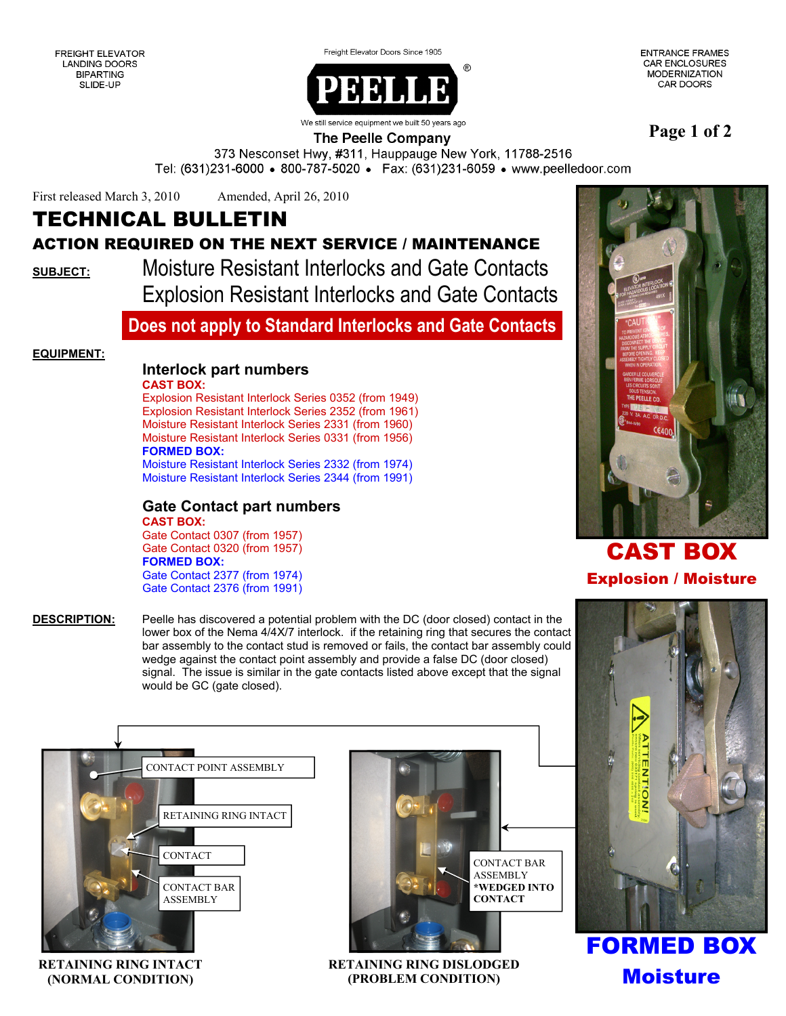Freight Elevator Doors Since 1905

**ENTRANCE FRAMES CAR ENCLOSURES** MODERNIZATION CAR DOORS



**Page 1 of 2** 

### **The Peelle Company**

373 Nesconset Hwy, #311, Hauppauge New York, 11788-2516 Tel: (631)231-6000 • 800-787-5020 • Fax: (631)231-6059 • www.peelledoor.com

First released March 3, 2010 Amended, April 26, 2010

# TECHNICAL BULLETIN

## ACTION REQUIRED ON THE NEXT SERVICE / MAINTENANCE

**SUBJECT:** Moisture Resistant Interlocks and Gate Contacts Explosion Resistant Interlocks and Gate Contacts

## **Does not apply to Standard Interlocks and Gate Contacts**

#### **EQUIPMENT:**

## **Interlock part numbers**

**CAST BOX:** 

 Explosion Resistant Interlock Series 0352 (from 1949) Explosion Resistant Interlock Series 2352 (from 1961) Moisture Resistant Interlock Series 2331 (from 1960) Moisture Resistant Interlock Series 0331 (from 1956) **FORMED BOX:** Moisture Resistant Interlock Series 2332 (from 1974)

Moisture Resistant Interlock Series 2344 (from 1991)

#### **Gate Contact part numbers CAST BOX:**

Gate Contact 0307 (from 1957) Gate Contact 0320 (from 1957)  **FORMED BOX:** Gate Contact 2377 (from 1974) Gate Contact 2376 (from 1991)

**DESCRIPTION:** Peelle has discovered a potential problem with the DC (door closed) contact in the lower box of the Nema 4/4X/7 interlock. if the retaining ring that secures the contact bar assembly to the contact stud is removed or fails, the contact bar assembly could wedge against the contact point assembly and provide a false DC (door closed) signal. The issue is similar in the gate contacts listed above except that the signal would be GC (gate closed).



**RETAINING RING INTACT (NORMAL CONDITION)** 



**RETAINING RING DISLODGED (PROBLEM CONDITION)** 



# CAST BOX Explosion / Moisture



FORMED BOX Moisture